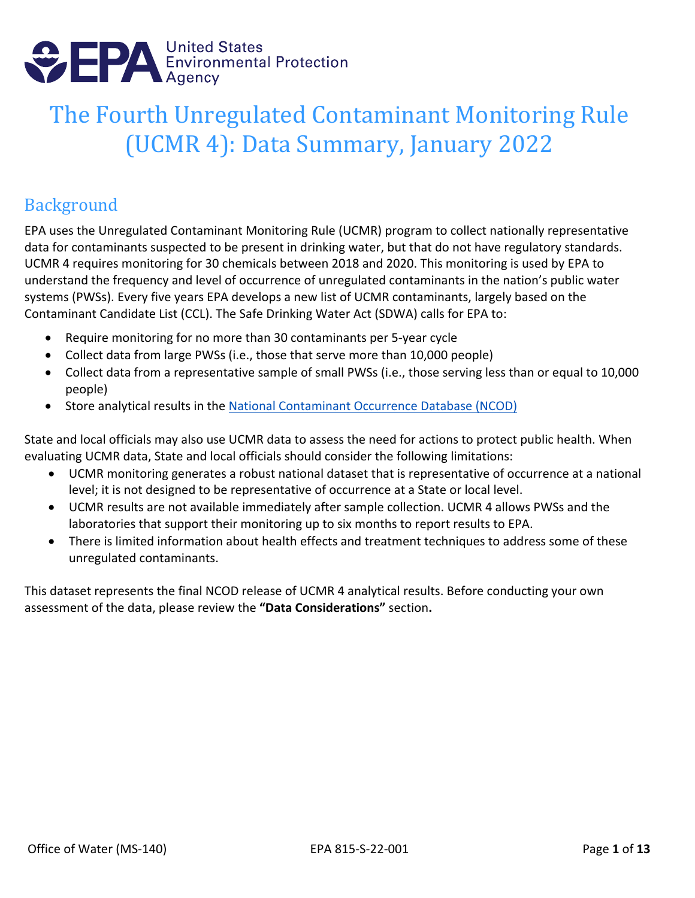

# The Fourth Unregulated Contaminant Monitoring Rule (UCMR 4): Data Summary, January 2022

#### Background

EPA uses the Unregulated Contaminant Monitoring Rule (UCMR) program to collect nationally representative data for contaminants suspected to be present in drinking water, but that do not have regulatory standards. UCMR 4 requires monitoring for 30 chemicals between 2018 and 2020. This monitoring is used by EPA to understand the frequency and level of occurrence of unregulated contaminants in the nation's public water systems (PWSs). Every five years EPA develops a new list of UCMR contaminants, largely based on the Contaminant Candidate List (CCL). The Safe Drinking Water Act (SDWA) calls for EPA to:

- Require monitoring for no more than 30 contaminants per 5-year cycle
- Collect data from large PWSs (i.e., those that serve more than 10,000 people)
- Collect data from a representative sample of small PWSs (i.e., those serving less than or equal to 10,000 people)
- Store analytical results in the [National Contaminant Occurrence Database \(NCOD\)](https://www.epa.gov/dwucmr/occurrence-data-unregulated-contaminant-monitoring-rule)

State and local officials may also use UCMR data to assess the need for actions to protect public health. When evaluating UCMR data, State and local officials should consider the following limitations:

- UCMR monitoring generates a robust national dataset that is representative of occurrence at a national level; it is not designed to be representative of occurrence at a State or local level.
- UCMR results are not available immediately after sample collection. UCMR 4 allows PWSs and the laboratories that support their monitoring up to six months to report results to EPA.
- There is limited information about health effects and treatment techniques to address some of these unregulated contaminants.

This dataset represents the final NCOD release of UCMR 4 analytical results. Before conducting your own assessment of the data, please review the **["Data Considerations"](#page-9-0)** section**.**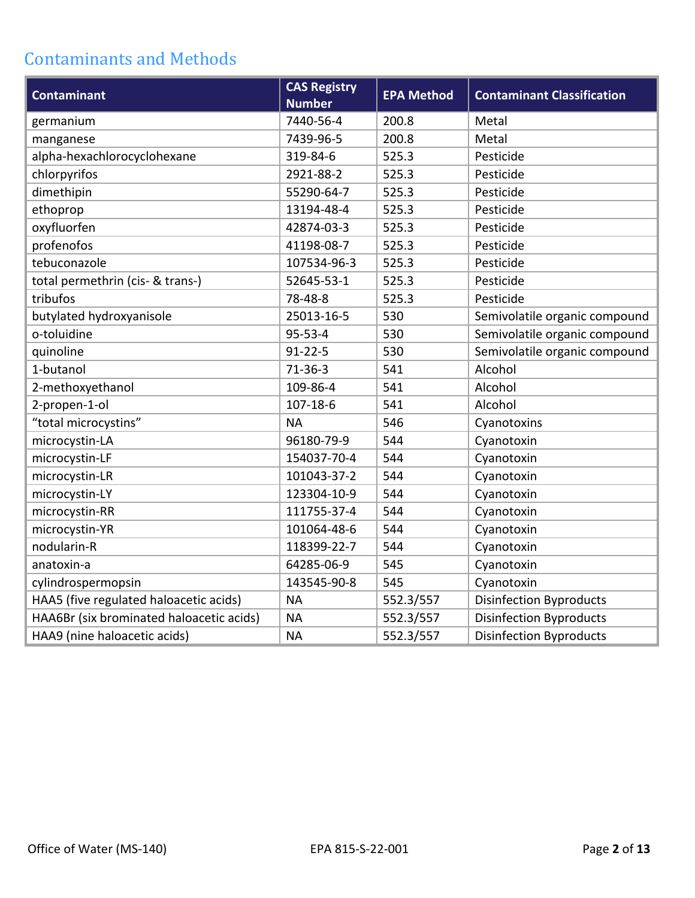# Contaminants and Methods

| <b>Contaminant</b>                       | <b>CAS Registry</b><br><b>Number</b> | <b>EPA Method</b> | <b>Contaminant Classification</b> |
|------------------------------------------|--------------------------------------|-------------------|-----------------------------------|
| germanium                                | 7440-56-4                            | 200.8             | Metal                             |
| manganese                                | 7439-96-5                            | 200.8             | Metal                             |
| alpha-hexachlorocyclohexane              | 319-84-6                             | 525.3             | Pesticide                         |
| chlorpyrifos                             | 2921-88-2                            | 525.3             | Pesticide                         |
| dimethipin                               | 55290-64-7                           | 525.3             | Pesticide                         |
| ethoprop                                 | 13194-48-4                           | 525.3             | Pesticide                         |
| oxyfluorfen                              | 42874-03-3                           | 525.3             | Pesticide                         |
| profenofos                               | 41198-08-7                           | 525.3             | Pesticide                         |
| tebuconazole                             | 107534-96-3                          | 525.3             | Pesticide                         |
| total permethrin (cis- & trans-)         | 52645-53-1                           | 525.3             | Pesticide                         |
| tribufos                                 | 78-48-8                              | 525.3             | Pesticide                         |
| butylated hydroxyanisole                 | 25013-16-5                           | 530               | Semivolatile organic compound     |
| o-toluidine                              | $95 - 53 - 4$                        | 530               | Semivolatile organic compound     |
| quinoline                                | $91 - 22 - 5$                        | 530               | Semivolatile organic compound     |
| 1-butanol                                | $71-36-3$                            | 541               | Alcohol                           |
| 2-methoxyethanol                         | 109-86-4                             | 541               | Alcohol                           |
| 2-propen-1-ol                            | 107-18-6                             | 541               | Alcohol                           |
| "total microcystins"                     | <b>NA</b>                            | 546               | Cyanotoxins                       |
| microcystin-LA                           | 96180-79-9                           | 544               | Cyanotoxin                        |
| microcystin-LF                           | 154037-70-4                          | 544               | Cyanotoxin                        |
| microcystin-LR                           | 101043-37-2                          | 544               | Cyanotoxin                        |
| microcystin-LY                           | 123304-10-9                          | 544               | Cyanotoxin                        |
| microcystin-RR                           | 111755-37-4                          | 544               | Cyanotoxin                        |
| microcystin-YR                           | 101064-48-6                          | 544               | Cyanotoxin                        |
| nodularin-R                              | 118399-22-7                          | 544               | Cyanotoxin                        |
| anatoxin-a                               | 64285-06-9                           | 545               | Cyanotoxin                        |
| cylindrospermopsin                       | 143545-90-8                          | 545               | Cyanotoxin                        |
| HAA5 (five regulated haloacetic acids)   | <b>NA</b>                            | 552.3/557         | <b>Disinfection Byproducts</b>    |
| HAA6Br (six brominated haloacetic acids) | <b>NA</b>                            | 552.3/557         | <b>Disinfection Byproducts</b>    |
| HAA9 (nine haloacetic acids)             | <b>NA</b>                            | 552.3/557         | <b>Disinfection Byproducts</b>    |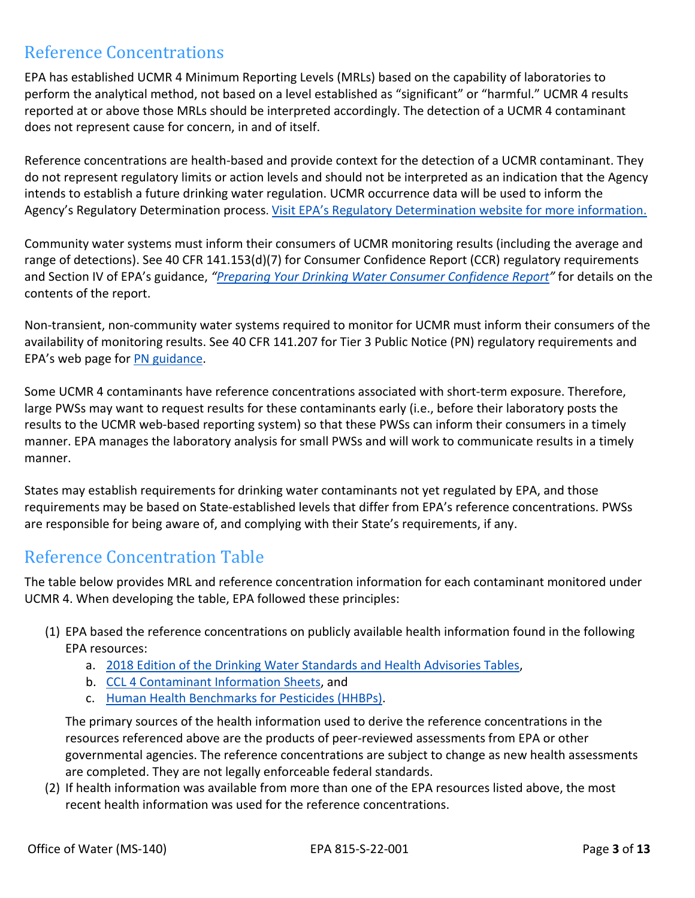#### Reference Concentrations

EPA has established UCMR 4 Minimum Reporting Levels (MRLs) based on the capability of laboratories to perform the analytical method, not based on a level established as "significant" or "harmful." UCMR 4 results reported at or above those MRLs should be interpreted accordingly. The detection of a UCMR 4 contaminant does not represent cause for concern, in and of itself.

Reference concentrations are health-based and provide context for the detection of a UCMR contaminant. They do not represent regulatory limits or action levels and should not be interpreted as an indication that the Agency intends to establish a future drinking water regulation. UCMR occurrence data will be used to inform the Agency's Regulatory Determination process. [Visit EPA's Regulatory Determination website for more information.](https://www.epa.gov/ccl/regulatory-determination-4)

Community water systems must inform their consumers of UCMR monitoring results (including the average and range of detections). See 40 CFR 141.153(d)(7) for Consumer Confidence Report (CCR) regulatory requirements and Section IV of EPA's guidance, *["Preparing Your Drinking Water Consumer Confidence Report"](https://nepis.epa.gov/exe/ZyPDF.cgi/P10072FC.PDF?Dockey=P10072FC.pdf)* for details on the contents of the report.

Non-transient, non-community water systems required to monitor for UCMR must inform their consumers of the availability of monitoring results. See 40 CFR 141.207 for Tier 3 Public Notice (PN) regulatory requirements and EPA's web page for [PN guidance.](https://www.epa.gov/dwreginfo/public-notification-rule)

Some UCMR 4 contaminants have reference concentrations associated with short-term exposure. Therefore, large PWSs may want to request results for these contaminants early (i.e., before their laboratory posts the results to the UCMR web-based reporting system) so that these PWSs can inform their consumers in a timely manner. EPA manages the laboratory analysis for small PWSs and will work to communicate results in a timely manner.

States may establish requirements for drinking water contaminants not yet regulated by EPA, and those requirements may be based on State-established levels that differ from EPA's reference concentrations. PWSs are responsible for being aware of, and complying with their State's requirements, if any.

#### Reference Concentration Table

The table below provides MRL and reference concentration information for each contaminant monitored under UCMR 4. When developing the table, EPA followed these principles:

- (1) EPA based the reference concentrations on publicly available health information found in the following EPA resources:
	- a. [2018 Edition of the Drinking Water Standards and Health Advisories](https://www.epa.gov/system/files/documents/2022-01/dwtable2018.pdf) Tables,
	- b. [CCL 4 Contaminant Information Sheets,](https://www.epa.gov/sites/production/files/2016-11/documents/815r16003.pdf) and
	- c. [Human Health Benchmarks](https://ofmpub.epa.gov/apex/pesticides/f?p=122:3::::::) for Pesticides (HHBPs).

The primary sources of the health information used to derive the reference concentrations in the resources referenced above are the products of peer-reviewed assessments from EPA or other governmental agencies. The reference concentrations are subject to change as new health assessments are completed. They are not legally enforceable federal standards.

(2) If health information was available from more than one of the EPA resources listed above, the most recent health information was used for the reference concentrations.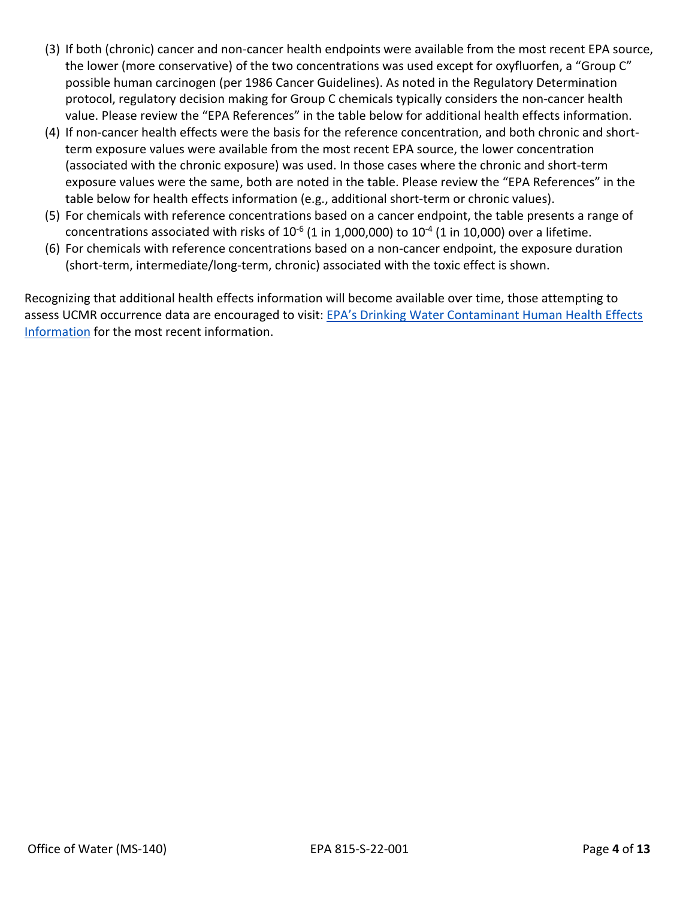- (3) If both (chronic) cancer and non-cancer health endpoints were available from the most recent EPA source, the lower (more conservative) of the two concentrations was used except for oxyfluorfen, a "Group C" possible human carcinogen (per 1986 Cancer Guidelines). As noted in the Regulatory Determination protocol, regulatory decision making for Group C chemicals typically considers the non-cancer health value. Please review the "EPA References" in the table below for additional health effects information.
- (4) If non-cancer health effects were the basis for the reference concentration, and both chronic and shortterm exposure values were available from the most recent EPA source, the lower concentration (associated with the chronic exposure) was used. In those cases where the chronic and short-term exposure values were the same, both are noted in the table. Please review the "EPA References" in the table below for health effects information (e.g., additional short-term or chronic values).
- (5) For chemicals with reference concentrations based on a cancer endpoint, the table presents a range of concentrations associated with risks of  $10^{-6}$  (1 in 1,000,000) to  $10^{-4}$  (1 in 10,000) over a lifetime.
- (6) For chemicals with reference concentrations based on a non-cancer endpoint, the exposure duration (short-term, intermediate/long-term, chronic) associated with the toxic effect is shown.

Recognizing that additional health effects information will become available over time, those attempting to assess UCMR occurrence data are encouraged to visit: EPA's Drinking Water Contaminant Human Health Effects [Information](https://www.epa.gov/dwstandardsregulations/drinking-water-contaminant-human-health-effects-information) for the most recent information.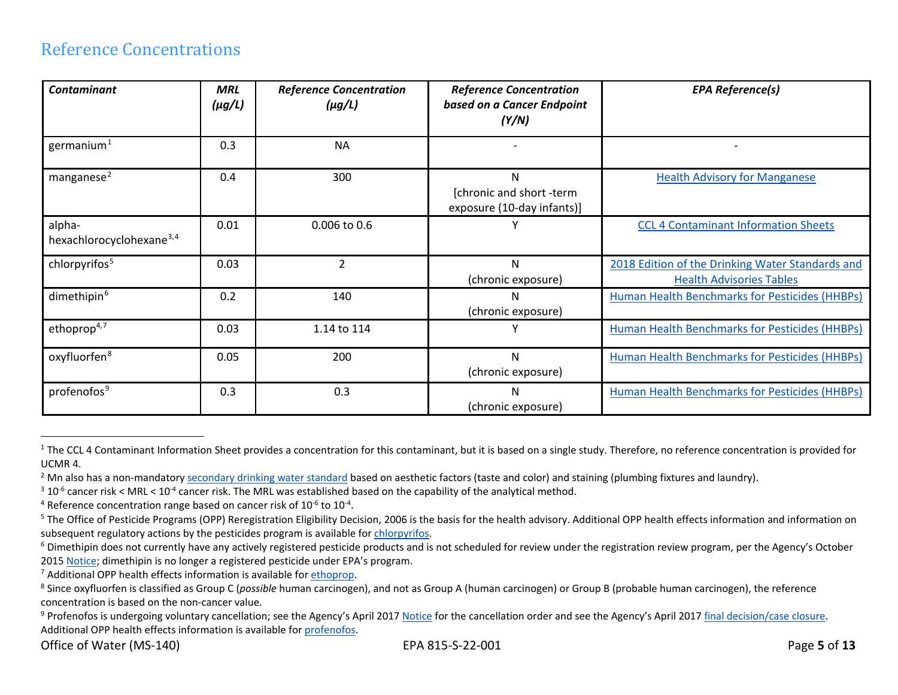#### <span id="page-4-8"></span><span id="page-4-7"></span><span id="page-4-6"></span><span id="page-4-5"></span><span id="page-4-4"></span><span id="page-4-3"></span><span id="page-4-2"></span><span id="page-4-1"></span><span id="page-4-0"></span>Reference Concentrations

| <b>Contaminant</b>                             | <b>MRL</b><br>$(\mu g/L)$ | <b>Reference Concentration</b><br>$(\mu g/L)$ | <b>Reference Concentration</b><br>based on a Cancer Endpoint<br>(Y/N) | <b>EPA Reference(s)</b>                                                             |
|------------------------------------------------|---------------------------|-----------------------------------------------|-----------------------------------------------------------------------|-------------------------------------------------------------------------------------|
| germanium $1$                                  | 0.3                       | <b>NA</b>                                     |                                                                       |                                                                                     |
| manganese <sup>2</sup>                         | 0.4                       | 300                                           | N<br>[chronic and short -term<br>exposure (10-day infants)]           | <b>Health Advisory for Manganese</b>                                                |
| alpha-<br>hexachlorocyclohexane <sup>3,4</sup> | 0.01                      | 0.006 to 0.6                                  |                                                                       | <b>CCL 4 Contaminant Information Sheets</b>                                         |
| chlorpyrifos <sup>5</sup>                      | 0.03                      | ς                                             | N<br>(chronic exposure)                                               | 2018 Edition of the Drinking Water Standards and<br><b>Health Advisories Tables</b> |
| dimethipin <sup>6</sup>                        | 0.2                       | 140                                           | N<br>(chronic exposure)                                               | Human Health Benchmarks for Pesticides (HHBPs)                                      |
| ethoprop <sup>4,7</sup>                        | 0.03                      | 1.14 to 114                                   |                                                                       | <b>Human Health Benchmarks for Pesticides (HHBPs)</b>                               |
| oxyfluorfen <sup>8</sup>                       | 0.05                      | 200                                           | N<br>(chronic exposure)                                               | <b>Human Health Benchmarks for Pesticides (HHBPs)</b>                               |
| profenofos <sup>9</sup>                        | 0.3                       | 0.3                                           | N<br>(chronic exposure)                                               | Human Health Benchmarks for Pesticides (HHBPs)                                      |

 $1$  The CCL 4 Contaminant Information Sheet provides a concentration for this contaminant, but it is based on a single study. Therefore, no reference concentration is provided for UCMR 4.<br><sup>2</sup> Mn also has a non-mandatory <u>secondary drinking water standard</u> based on aesthetic factors (taste and color) and staining (plumbing fixtures and laundry).<br><sup>3</sup> 10<sup>-6</sup> cancer risk < MRL < 10<sup>-4</sup> cancer risk. The

<sup>&</sup>lt;sup>4</sup> Reference concentration range based on cancer risk of  $10^{-6}$  to  $10^{-4}$ .<br><sup>5</sup> The Office of Pesticide Programs (OPP) Reregistration Eligibility Decision, 2006 is the basis for the health advisory. Additional OPP healt subsequent regulatory actions by the pesticides program is available for chlorpyrifos.<br><sup>6</sup> Dimethipin does not currently have any actively registered pesticide products and is not scheduled for review under the registratio

<sup>2015</sup> [Notice;](https://www.federalregister.gov/documents/2015/10/02/2015-25167/registration-review-conventional-biopesticide-and-antimicrobial-pesticide-dockets-opened-for-review) dimethipin is no longer a registered pesticide under EPA's program.

<sup>&</sup>lt;sup>7</sup> Additional OPP health effects information is available for ethoprop.<br><sup>8</sup> Since oxyfluorfen is classified as Group C (*possible* human carcinogen), and not as Group A (human carcinogen) or Group B (probable human carcin concentration is based on the non-cancer value.<br><sup>9</sup> Profenofos is undergoing voluntary cancellation; see the Agency's April 201[7 Notice](https://www.gpo.gov/fdsys/pkg/FR-2017-04-10/pdf/2017-07133.pdf) for the cancellation order and see the Agency's April 2017 final decision/case closure

Additional OPP health effects information is available fo[r profenofos.](https://www.regulations.gov/document?D=EPA-HQ-OPP-2008-0345-0024)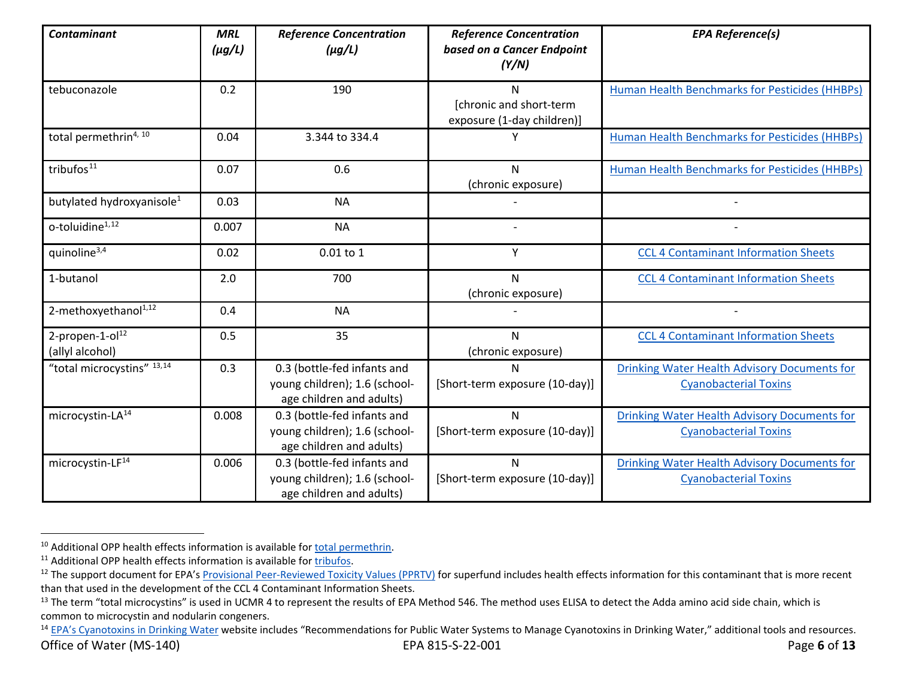<span id="page-5-4"></span><span id="page-5-3"></span><span id="page-5-2"></span><span id="page-5-1"></span><span id="page-5-0"></span>

| <b>Contaminant</b>                             | <b>MRL</b><br>$(\mu g/L)$ | <b>Reference Concentration</b><br>$(\mu g/L)$                                            | <b>Reference Concentration</b><br>based on a Cancer Endpoint<br>(Y/N) | <b>EPA Reference(s)</b>                                                             |
|------------------------------------------------|---------------------------|------------------------------------------------------------------------------------------|-----------------------------------------------------------------------|-------------------------------------------------------------------------------------|
| tebuconazole                                   | 0.2                       | 190                                                                                      | N<br>[chronic and short-term<br>exposure (1-day children)]            | <b>Human Health Benchmarks for Pesticides (HHBPs)</b>                               |
| total permethrin4, 10                          | 0.04                      | 3.344 to 334.4                                                                           |                                                                       | Human Health Benchmarks for Pesticides (HHBPs)                                      |
| tribufos <sup>11</sup>                         | 0.07                      | 0.6                                                                                      | N<br>(chronic exposure)                                               | Human Health Benchmarks for Pesticides (HHBPs)                                      |
| butylated hydroxyanisole <sup>1</sup>          | 0.03                      | <b>NA</b>                                                                                |                                                                       |                                                                                     |
| o-toluidine <sup>1,12</sup>                    | 0.007                     | <b>NA</b>                                                                                |                                                                       |                                                                                     |
| quinoline <sup>3,4</sup>                       | 0.02                      | $0.01$ to $1$                                                                            | Y                                                                     | <b>CCL 4 Contaminant Information Sheets</b>                                         |
| 1-butanol                                      | 2.0                       | 700                                                                                      | N<br>(chronic exposure)                                               | <b>CCL 4 Contaminant Information Sheets</b>                                         |
| 2-methoxyethanol <sup>1,12</sup>               | 0.4                       | <b>NA</b>                                                                                |                                                                       |                                                                                     |
| 2-propen-1-ol <sup>12</sup><br>(allyl alcohol) | 0.5                       | 35                                                                                       | N<br>(chronic exposure)                                               | <b>CCL 4 Contaminant Information Sheets</b>                                         |
| "total microcystins" 13,14                     | 0.3                       | 0.3 (bottle-fed infants and<br>young children); 1.6 (school-<br>age children and adults) | N<br>[Short-term exposure (10-day)]                                   | <b>Drinking Water Health Advisory Documents for</b><br><b>Cyanobacterial Toxins</b> |
| microcystin-LA <sup>14</sup>                   | 0.008                     | 0.3 (bottle-fed infants and<br>young children); 1.6 (school-<br>age children and adults) | N<br>[Short-term exposure (10-day)]                                   | <b>Drinking Water Health Advisory Documents for</b><br><b>Cyanobacterial Toxins</b> |
| microcystin-LF <sup>14</sup>                   | 0.006                     | 0.3 (bottle-fed infants and<br>young children); 1.6 (school-<br>age children and adults) | N<br>[Short-term exposure (10-day)]                                   | Drinking Water Health Advisory Documents for<br><b>Cyanobacterial Toxins</b>        |

<sup>&</sup>lt;sup>10</sup> Additional OPP health effects information is available fo[r total permethrin.](https://www.regulations.gov/document?D=EPA-HQ-OPP-2011-0039-0088)

<sup>&</sup>lt;sup>11</sup> Additional OPP health effects information is available fo[r tribufos.](https://www.regulations.gov/document?D=EPA-HQ-OPP-2008-0883-0011)

<sup>&</sup>lt;sup>12</sup> The support document for EPA'[s Provisional Peer-Reviewed Toxicity Values \(PPRTV\)](https://www.epa.gov/pprtv/provisional-peer-reviewed-toxicity-values-pprtvs-assessments) for superfund includes health effects information for this contaminant that is more recent than that used in the development of the CCL 4 Contaminant Information Sheets.

<sup>&</sup>lt;sup>13</sup> The term "total microcystins" is used in UCMR 4 to represent the results of EPA Method 546. The method uses ELISA to detect the Adda amino acid side chain, which is common to microcystin and nodularin congeners.

Office of Water (MS-140) EPA 815-S-22-001 Page **6** of **13** <sup>14</sup> [EPA's Cyanotoxins in Drinking Water](https://www.epa.gov/ground-water-and-drinking-water/managing-cyanotoxins-public-drinking-water-systems) website includes "Recommendations for Public Water Systems to Manage Cyanotoxins in Drinking Water," additional tools and resources.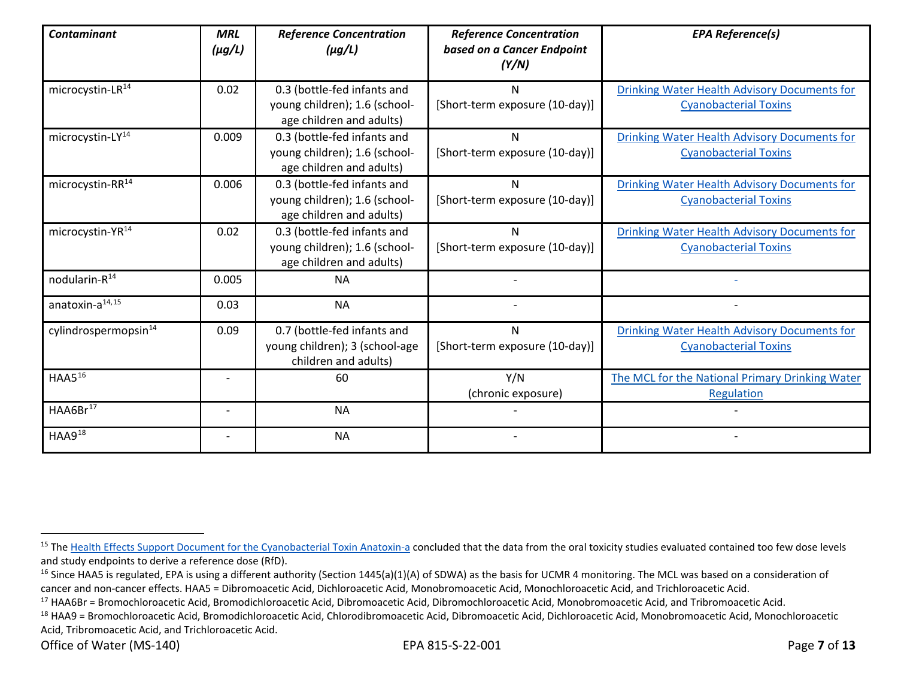<span id="page-6-3"></span><span id="page-6-2"></span><span id="page-6-1"></span><span id="page-6-0"></span>

| <b>Contaminant</b>               | <b>MRL</b><br>$(\mu g/L)$ | <b>Reference Concentration</b><br>$(\mu g/L)$                                            | <b>Reference Concentration</b><br>based on a Cancer Endpoint<br>(Y/N) | <b>EPA Reference(s)</b>                                                             |
|----------------------------------|---------------------------|------------------------------------------------------------------------------------------|-----------------------------------------------------------------------|-------------------------------------------------------------------------------------|
| microcystin-LR <sup>14</sup>     | 0.02                      | 0.3 (bottle-fed infants and<br>young children); 1.6 (school-<br>age children and adults) | N<br>[Short-term exposure (10-day)]                                   | <b>Drinking Water Health Advisory Documents for</b><br><b>Cyanobacterial Toxins</b> |
| microcystin-LY <sup>14</sup>     | 0.009                     | 0.3 (bottle-fed infants and<br>young children); 1.6 (school-<br>age children and adults) | N<br>[Short-term exposure (10-day)]                                   | <b>Drinking Water Health Advisory Documents for</b><br><b>Cyanobacterial Toxins</b> |
| microcystin-RR <sup>14</sup>     | 0.006                     | 0.3 (bottle-fed infants and<br>young children); 1.6 (school-<br>age children and adults) | N<br>[Short-term exposure (10-day)]                                   | Drinking Water Health Advisory Documents for<br><b>Cyanobacterial Toxins</b>        |
| microcystin-YR <sup>14</sup>     | 0.02                      | 0.3 (bottle-fed infants and<br>young children); 1.6 (school-<br>age children and adults) | N<br>[Short-term exposure (10-day)]                                   | <b>Drinking Water Health Advisory Documents for</b><br><b>Cyanobacterial Toxins</b> |
| nodularin-R <sup>14</sup>        | 0.005                     | <b>NA</b>                                                                                |                                                                       |                                                                                     |
| anatoxin-a <sup>14,15</sup>      | 0.03                      | <b>NA</b>                                                                                |                                                                       |                                                                                     |
| cylindrospermopsin <sup>14</sup> | 0.09                      | 0.7 (bottle-fed infants and<br>young children); 3 (school-age<br>children and adults)    | N<br>[Short-term exposure (10-day)]                                   | <b>Drinking Water Health Advisory Documents for</b><br><b>Cyanobacterial Toxins</b> |
| HAAS <sup>16</sup>               |                           | 60                                                                                       | Y/N<br>(chronic exposure)                                             | The MCL for the National Primary Drinking Water<br>Regulation                       |
| HAA6Br <sup>17</sup>             |                           | <b>NA</b>                                                                                |                                                                       |                                                                                     |
| $HAA9^{18}$                      |                           | <b>NA</b>                                                                                |                                                                       |                                                                                     |

<sup>&</sup>lt;sup>15</sup> Th[e Health Effects Support Document for the Cyanobacterial Toxin Anatoxin-a](https://www.epa.gov/sites/production/files/2017-06/documents/anatoxin-a-report-2015.pdf) concluded that the data from the oral toxicity studies evaluated contained too few dose levels and study endpoints to derive a reference dose (RfD).

<sup>&</sup>lt;sup>16</sup> Since HAA5 is regulated, EPA is using a different authority (Section 1445(a)(1)(A) of SDWA) as the basis for UCMR 4 monitoring. The MCL was based on a consideration of cancer and non-cancer effects. HAA5 = Dibromoacetic Acid, Dichloroacetic Acid, Monobromoacetic Acid, Monochloroacetic Acid, and Trichloroacetic Acid.<br><sup>17</sup> HAA6Br = Bromochloroacetic Acid, Bromodichloroacetic Acid, Dibromoa

<sup>18</sup> HAA9 = Bromochloroacetic Acid, Bromodichloroacetic Acid, Chlorodibromoacetic Acid, Dibromoacetic Acid, Dichloroacetic Acid, Monobromoacetic Acid, Monochloroacetic Acid, Tribromoacetic Acid, and Trichloroacetic Acid.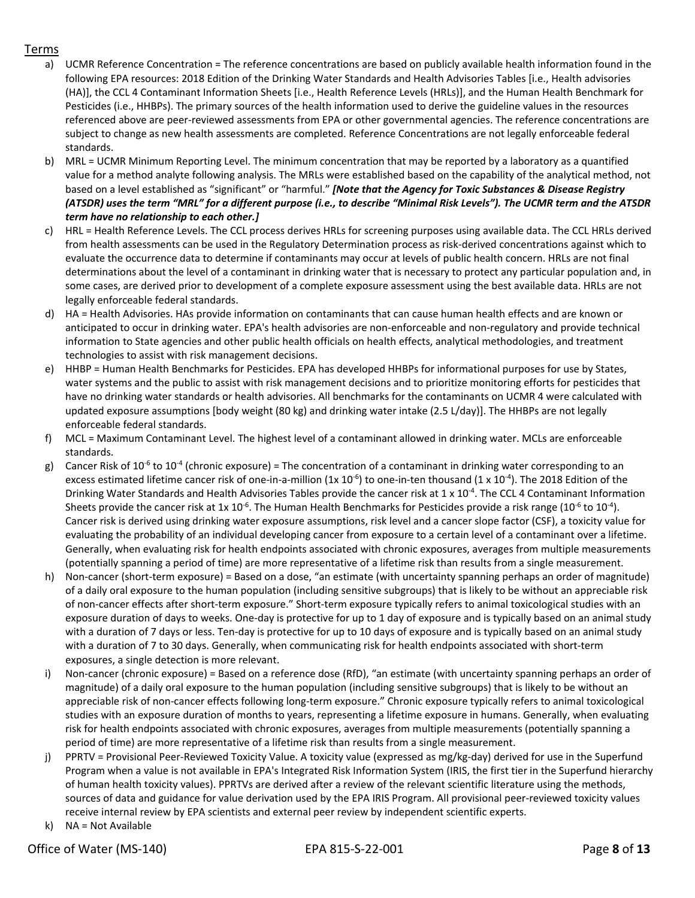#### Terms

- a) UCMR Reference Concentration = The reference concentrations are based on publicly available health information found in the following EPA resources: 2018 Edition of the Drinking Water Standards and Health Advisories Tables [i.e., Health advisories (HA)], the CCL 4 Contaminant Information Sheets [i.e., Health Reference Levels (HRLs)], and the Human Health Benchmark for Pesticides (i.e., HHBPs). The primary sources of the health information used to derive the guideline values in the resources referenced above are peer-reviewed assessments from EPA or other governmental agencies. The reference concentrations are subject to change as new health assessments are completed. Reference Concentrations are not legally enforceable federal standards.
- b) MRL = UCMR Minimum Reporting Level. The minimum concentration that may be reported by a laboratory as a quantified value for a method analyte following analysis. The MRLs were established based on the capability of the analytical method, not based on a level established as "significant" or "harmful." *[Note that the Agency for Toxic Substances & Disease Registry (ATSDR) uses the term "MRL" for a different purpose (i.e., to describe "Minimal Risk Levels"). The UCMR term and the ATSDR term have no relationship to each other.]*
- c) HRL = Health Reference Levels. The CCL process derives HRLs for screening purposes using available data. The CCL HRLs derived from health assessments can be used in the Regulatory Determination process as risk-derived concentrations against which to evaluate the occurrence data to determine if contaminants may occur at levels of public health concern. HRLs are not final determinations about the level of a contaminant in drinking water that is necessary to protect any particular population and, in some cases, are derived prior to development of a complete exposure assessment using the best available data. HRLs are not legally enforceable federal standards.
- d) HA = Health Advisories. HAs provide information on contaminants that can cause human health effects and are known or anticipated to occur in drinking water. EPA's health advisories are non-enforceable and non-regulatory and provide technical information to State agencies and other public health officials on health effects, analytical methodologies, and treatment technologies to assist with risk management decisions.
- e) HHBP = Human Health Benchmarks for Pesticides. EPA has developed HHBPs for informational purposes for use by States, water systems and the public to assist with risk management decisions and to prioritize monitoring efforts for pesticides that have no drinking water standards or health advisories. All benchmarks for the contaminants on UCMR 4 were calculated with updated exposure assumptions [body weight (80 kg) and drinking water intake (2.5 L/day)]. The HHBPs are not legally enforceable federal standards.
- f) MCL = Maximum Contaminant Level. The highest level of a contaminant allowed in drinking water. MCLs are enforceable standards.
- g) Cancer Risk of 10<sup>-6</sup> to 10<sup>-4</sup> (chronic exposure) = The concentration of a contaminant in drinking water corresponding to an excess estimated lifetime cancer risk of one-in-a-million (1x 10<sup>-6</sup>) to one-in-ten thousand (1 x 10<sup>-4</sup>). The 2018 Edition of the Drinking Water Standards and Health Advisories Tables provide the cancer risk at 1 x 10<sup>-4</sup>. The CCL 4 Contaminant Information Sheets provide the cancer risk at 1x 10<sup>-6</sup>. The Human Health Benchmarks for Pesticides provide a risk range (10<sup>-6</sup> to 10<sup>-4</sup>). Cancer risk is derived using drinking water exposure assumptions, risk level and a cancer slope factor (CSF), a toxicity value for evaluating the probability of an individual developing cancer from exposure to a certain level of a contaminant over a lifetime. Generally, when evaluating risk for health endpoints associated with chronic exposures, averages from multiple measurements (potentially spanning a period of time) are more representative of a lifetime risk than results from a single measurement.
- h) Non-cancer (short-term exposure) = Based on a dose, "an estimate (with uncertainty spanning perhaps an order of magnitude) of a daily oral exposure to the human population (including sensitive subgroups) that is likely to be without an appreciable risk of non-cancer effects after short-term exposure." Short-term exposure typically refers to animal toxicological studies with an exposure duration of days to weeks. One-day is protective for up to 1 day of exposure and is typically based on an animal study with a duration of 7 days or less. Ten-day is protective for up to 10 days of exposure and is typically based on an animal study with a duration of 7 to 30 days. Generally, when communicating risk for health endpoints associated with short-term exposures, a single detection is more relevant.
- i) Non-cancer (chronic exposure) = Based on a reference dose (RfD), "an estimate (with uncertainty spanning perhaps an order of magnitude) of a daily oral exposure to the human population (including sensitive subgroups) that is likely to be without an appreciable risk of non-cancer effects following long-term exposure." Chronic exposure typically refers to animal toxicological studies with an exposure duration of months to years, representing a lifetime exposure in humans. Generally, when evaluating risk for health endpoints associated with chronic exposures, averages from multiple measurements (potentially spanning a period of time) are more representative of a lifetime risk than results from a single measurement.
- j) PPRTV = Provisional Peer-Reviewed Toxicity Value. A toxicity value (expressed as mg/kg-day) derived for use in the Superfund Program when a value is not available in EPA's Integrated Risk Information System (IRIS, the first tier in the Superfund hierarchy of human health toxicity values). PPRTVs are derived after a review of the relevant scientific literature using the methods, sources of data and guidance for value derivation used by the EPA IRIS Program. All provisional peer-reviewed toxicity values receive internal review by EPA scientists and external peer review by independent scientific experts.
- k) NA = Not Available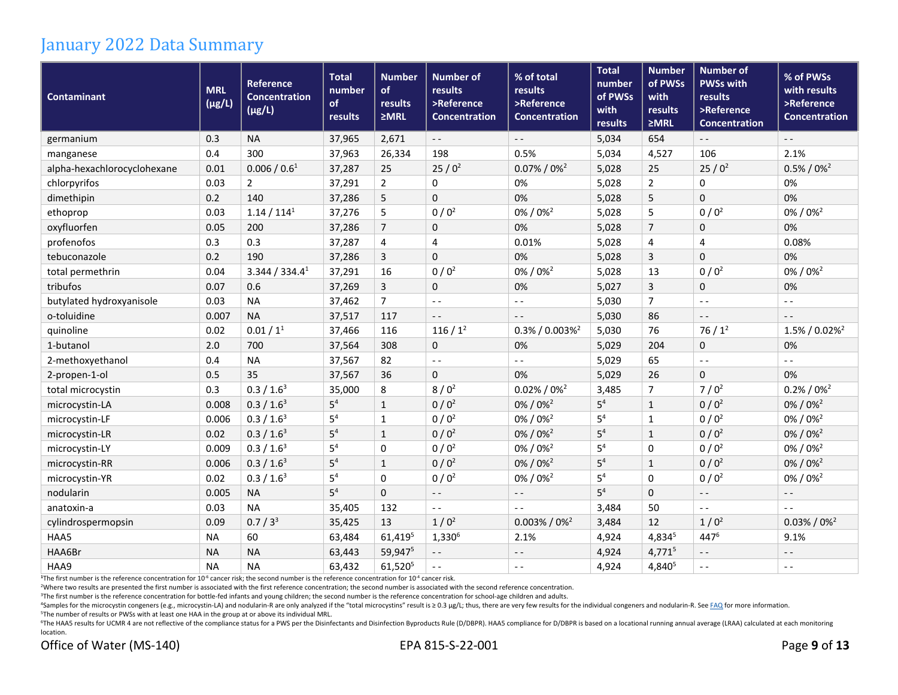#### January 2022 Data Summary

| <b>Contaminant</b>          | <b>MRL</b><br>$(\mu g/L)$ | <b>Reference</b><br><b>Concentration</b><br>$(\mu g/L)$ | <b>Total</b><br>number<br>of<br>results | <b>Number</b><br>of<br>results<br>$\geq MRL$ | <b>Number of</b><br>results<br>>Reference<br><b>Concentration</b> | % of total<br>results<br>>Reference<br><b>Concentration</b> | <b>Total</b><br>number<br>of PWSs<br>with<br>results | <b>Number</b><br>of PWSs<br>with<br>results<br>$\geq MRL$ | <b>Number of</b><br><b>PWSs with</b><br>results<br>>Reference<br><b>Concentration</b> | % of PWSs<br>with results<br>>Reference<br><b>Concentration</b> |
|-----------------------------|---------------------------|---------------------------------------------------------|-----------------------------------------|----------------------------------------------|-------------------------------------------------------------------|-------------------------------------------------------------|------------------------------------------------------|-----------------------------------------------------------|---------------------------------------------------------------------------------------|-----------------------------------------------------------------|
| germanium                   | 0.3                       | <b>NA</b>                                               | 37,965                                  | 2,671                                        | $\sim$ $\sim$                                                     | $\sim$ $\sim$                                               | 5,034                                                | 654                                                       | $\sim$ $-$                                                                            | $\sim$ $\sim$                                                   |
| manganese                   | 0.4                       | 300                                                     | 37,963                                  | 26,334                                       | 198                                                               | 0.5%                                                        | 5,034                                                | 4,527                                                     | 106                                                                                   | 2.1%                                                            |
| alpha-hexachlorocyclohexane | 0.01                      | 0.006 / 0.6 <sup>1</sup>                                | 37,287                                  | 25                                           | $25/0^2$                                                          | $0.07\% / 0\%$                                              | 5,028                                                | 25                                                        | $25/0^2$                                                                              | $0.5\% / 0\%^2$                                                 |
| chlorpyrifos                | 0.03                      | $\overline{2}$                                          | 37,291                                  | $\overline{2}$                               | 0                                                                 | 0%                                                          | 5,028                                                | $\overline{2}$                                            | $\mathbf 0$                                                                           | 0%                                                              |
| dimethipin                  | 0.2                       | 140                                                     | 37,286                                  | 5                                            | $\mathbf 0$                                                       | 0%                                                          | 5,028                                                | 5                                                         | $\mathbf 0$                                                                           | 0%                                                              |
| ethoprop                    | 0.03                      | 1.14 / 114 <sup>1</sup>                                 | 37,276                                  | 5                                            | 0/0 <sup>2</sup>                                                  | $0\% / 0\%$ <sup>2</sup>                                    | 5,028                                                | 5                                                         | $0/0^2$                                                                               | 0% / 0% <sup>2</sup>                                            |
| oxyfluorfen                 | 0.05                      | 200                                                     | 37,286                                  | $\overline{7}$                               | 0                                                                 | 0%                                                          | 5,028                                                | $\overline{7}$                                            | 0                                                                                     | 0%                                                              |
| profenofos                  | 0.3                       | 0.3                                                     | 37,287                                  | 4                                            | 4                                                                 | 0.01%                                                       | 5,028                                                | 4                                                         | 4                                                                                     | 0.08%                                                           |
| tebuconazole                | 0.2                       | 190                                                     | 37,286                                  | 3                                            | $\mathbf 0$                                                       | 0%                                                          | 5,028                                                | 3                                                         | $\mathbf 0$                                                                           | 0%                                                              |
| total permethrin            | 0.04                      | 3.344 / 334.4 <sup>1</sup>                              | 37,291                                  | 16                                           | $0/0^2$                                                           | 0%/0% <sup>2</sup>                                          | 5,028                                                | 13                                                        | $0/0^2$                                                                               | 0%/0% <sup>2</sup>                                              |
| tribufos                    | 0.07                      | 0.6                                                     | 37,269                                  | 3                                            | 0                                                                 | 0%                                                          | 5,027                                                | $\mathbf{3}$                                              | $\mathbf 0$                                                                           | 0%                                                              |
| butylated hydroxyanisole    | 0.03                      | <b>NA</b>                                               | 37,462                                  | $\overline{7}$                               | $ -$                                                              | $\sim$ $\sim$                                               | 5,030                                                | $\overline{7}$                                            | $ -$                                                                                  | $ -$                                                            |
| o-toluidine                 | 0.007                     | <b>NA</b>                                               | 37,517                                  | 117                                          | $ -$                                                              | $\sim$ $\sim$                                               | 5,030                                                | 86                                                        | $\sim$ $\sim$                                                                         | $ -$                                                            |
| quinoline                   | 0.02                      | 0.01 / 1 <sup>1</sup>                                   | 37,466                                  | 116                                          | $116/1^2$                                                         | $0.3\%$ / 0.003% <sup>2</sup>                               | 5,030                                                | 76                                                        | $76/1^2$                                                                              | $1.5\% / 0.02\%^2$                                              |
| 1-butanol                   | 2.0                       | 700                                                     | 37,564                                  | 308                                          | $\mathbf{0}$                                                      | 0%                                                          | 5,029                                                | 204                                                       | $\mathbf 0$                                                                           | 0%                                                              |
| 2-methoxyethanol            | 0.4                       | <b>NA</b>                                               | 37,567                                  | 82                                           | $ -$                                                              | $\sim$ $\sim$                                               | 5,029                                                | 65                                                        | $\sim$ $\sim$                                                                         | $ -$                                                            |
| 2-propen-1-ol               | 0.5                       | 35                                                      | 37,567                                  | 36                                           | $\mathbf{0}$                                                      | 0%                                                          | 5,029                                                | 26                                                        | $\mathbf 0$                                                                           | 0%                                                              |
| total microcystin           | 0.3                       | 0.3 / 1.6 <sup>3</sup>                                  | 35,000                                  | 8                                            | $8/0^2$                                                           | $0.02\% / 0\%$ <sup>2</sup>                                 | 3,485                                                | $\overline{7}$                                            | $7/0^2$                                                                               | $0.2\% / 0\%$ <sup>2</sup>                                      |
| microcystin-LA              | 0.008                     | 0.3 / 1.6 <sup>3</sup>                                  | 5 <sup>4</sup>                          | $\mathbf{1}$                                 | $0/0^2$                                                           | 0% / 0% <sup>2</sup>                                        | 5 <sup>4</sup>                                       | $\mathbf{1}$                                              | $0/0^2$                                                                               | 0%/0% <sup>2</sup>                                              |
| microcystin-LF              | 0.006                     | 0.3 / 1.6 <sup>3</sup>                                  | 5 <sup>4</sup>                          | $\mathbf{1}$                                 | $0/0^2$                                                           | $0\% / 0\%$ <sup>2</sup>                                    | 5 <sup>4</sup>                                       | $\mathbf{1}$                                              | $0/0^2$                                                                               | $0\% / 0\%$ <sup>2</sup>                                        |
| microcystin-LR              | 0.02                      | 0.3 / 1.6 <sup>3</sup>                                  | 5 <sup>4</sup>                          | $\mathbf{1}$                                 | $0/0^2$                                                           | 0% / 0% <sup>2</sup>                                        | 5 <sup>4</sup>                                       | $\mathbf{1}$                                              | $0/0^2$                                                                               | $0\% / 0\%$ <sup>2</sup>                                        |
| microcystin-LY              | 0.009                     | 0.3 / 1.6 <sup>3</sup>                                  | 5 <sup>4</sup>                          | 0                                            | $0/0^2$                                                           | 0%/0% <sup>2</sup>                                          | 5 <sup>4</sup>                                       | $\mathbf 0$                                               | $0/0^2$                                                                               | 0%/0% <sup>2</sup>                                              |
| microcystin-RR              | 0.006                     | 0.3 / 1.6 <sup>3</sup>                                  | 5 <sup>4</sup>                          | $\mathbf 1$                                  | $0/0^2$                                                           | 0%/0% <sup>2</sup>                                          | 5 <sup>4</sup>                                       | $\mathbf{1}$                                              | $0/0^2$                                                                               | 0% / 0% <sup>2</sup>                                            |
| microcystin-YR              | 0.02                      | 0.3 / 1.6 <sup>3</sup>                                  | 5 <sup>4</sup>                          | 0                                            | $0/0^2$                                                           | 0% / 0% <sup>2</sup>                                        | 5 <sup>4</sup>                                       | 0                                                         | $0/0^2$                                                                               | $0\% / 0\%$ <sup>2</sup>                                        |
| nodularin                   | 0.005                     | <b>NA</b>                                               | 5 <sup>4</sup>                          | $\mathbf 0$                                  | $\sim$ $\sim$                                                     | $\sim$ $\sim$                                               | 5 <sup>4</sup>                                       | $\mathbf 0$                                               | $\sim$ $-$                                                                            | $\sim$ $-$                                                      |
| anatoxin-a                  | 0.03                      | <b>NA</b>                                               | 35,405                                  | 132                                          | $\sim$ $\sim$                                                     | $\sim$ $\sim$                                               | 3,484                                                | 50                                                        | $ -$                                                                                  | $ -$                                                            |
| cylindrospermopsin          | 0.09                      | 0.7 / 3 <sup>3</sup>                                    | 35,425                                  | 13                                           | $1/0^2$                                                           | $0.003\% / 0\%^2$                                           | 3,484                                                | 12                                                        | $1/0^2$                                                                               | $0.03\% / 0\%^2$                                                |
| HAA5                        | <b>NA</b>                 | 60                                                      | 63,484                                  | 61,4195                                      | $1,330^{6}$                                                       | 2.1%                                                        | 4,924                                                | 4,8345                                                    | 447 <sup>6</sup>                                                                      | 9.1%                                                            |
| HAA6Br                      | <b>NA</b>                 | <b>NA</b>                                               | 63,443                                  | 59,9475                                      | $\omega$ $\omega$                                                 | $ -$                                                        | 4,924                                                | $4,771^5$                                                 | $\sim$ $\sim$                                                                         | $\sim$ $-$                                                      |
| HAA9                        | <b>NA</b>                 | <b>NA</b>                                               | 63,432                                  | 61,520 <sup>5</sup>                          | $ -$                                                              | $\sim$ $\sim$                                               | 4,924                                                | 4,840 <sup>5</sup>                                        | $ -$                                                                                  | $ -$                                                            |

<sup>1</sup>The first number is the reference concentration for 10<sup>-6</sup> cancer risk; the second number is the reference concentration for 10<sup>-4</sup> cancer risk.

<sup>2</sup>Where two results are presented the first number is associated with the first reference concentration; the second number is associated with the second reference concentration.

<sup>3</sup>The first number is the reference concentration for bottle-fed infants and young children; the second number is the reference concentration for school-age children and adults.<br><sup>4</sup>Samples for the microcystin congeners (e

<sup>6</sup>The HAA5 results for UCMR 4 are not reflective of the compliance status for a PWS per the Disinfectants and Disinfection Byproducts Rule (D/DBPR). HAA5 compliance for D/DBPR is based on a locational running annual avera location.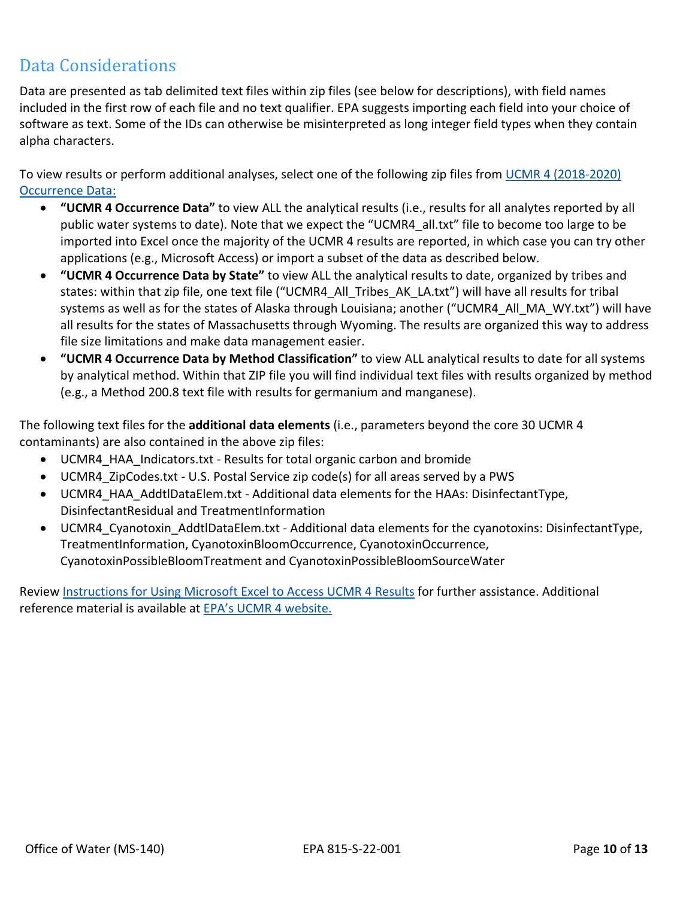#### <span id="page-9-0"></span>Data Considerations

Data are presented as tab delimited text files within zip files (see below for descriptions), with field names included in the first row of each file and no text qualifier. EPA suggests importing each field into your choice of software as text. Some of the IDs can otherwise be misinterpreted as long integer field types when they contain alpha characters.

To view results or perform additional analyses, select one of the following zip files from UCMR [4 \(2018-2020\)](https://www.epa.gov/dwucmr/occurrence-data-unregulated-contaminant-monitoring-rule) [Occurrence Data:](https://www.epa.gov/dwucmr/occurrence-data-unregulated-contaminant-monitoring-rule)

- **"UCMR 4 Occurrence Data"** to view ALL the analytical results (i.e., results for all analytes reported by all public water systems to date). Note that we expect the "UCMR4\_all.txt" file to become too large to be imported into Excel once the majority of the UCMR 4 results are reported, in which case you can try other applications (e.g., Microsoft Access) or import a subset of the data as described below.
- **"UCMR 4 Occurrence Data by State"** to view ALL the analytical results to date, organized by tribes and states: within that zip file, one text file ("UCMR4\_All\_Tribes\_AK\_LA.txt") will have all results for tribal systems as well as for the states of Alaska through Louisiana; another ("UCMR4\_All\_MA\_WY.txt") will have all results for the states of Massachusetts through Wyoming. The results are organized this way to address file size limitations and make data management easier.
- **"UCMR 4 Occurrence Data by Method Classification"** to view ALL analytical results to date for all systems by analytical method. Within that ZIP file you will find individual text files with results organized by method (e.g., a Method 200.8 text file with results for germanium and manganese).

The following text files for the **additional data elements** (i.e., parameters beyond the core 30 UCMR 4 contaminants) are also contained in the above zip files:

- UCMR4\_HAA\_Indicators.txt Results for total organic carbon and bromide
- UCMR4\_ZipCodes.txt U.S. Postal Service zip code(s) for all areas served by a PWS
- UCMR4\_HAA\_AddtlDataElem.txt Additional data elements for the HAAs: DisinfectantType, DisinfectantResidual and TreatmentInformation
- UCMR4\_Cyanotoxin\_AddtlDataElem.txt Additional data elements for the cyanotoxins: DisinfectantType, TreatmentInformation, CyanotoxinBloomOccurrence, CyanotoxinOccurrence, CyanotoxinPossibleBloomTreatment and CyanotoxinPossibleBloomSourceWater

Review [Instructions for Using Microsoft Excel to Access UCMR 4 Results](https://www.epa.gov/dwucmr/instructions-using-microsoft-excel-access-fourth-unregulated-contaminant-monitoring-rule-ucmr) for further assistance. Additional reference material is available at [EPA's UCMR 4 website.](https://www.epa.gov/dwucmr/fourth-unregulated-contaminant-monitoring-rule)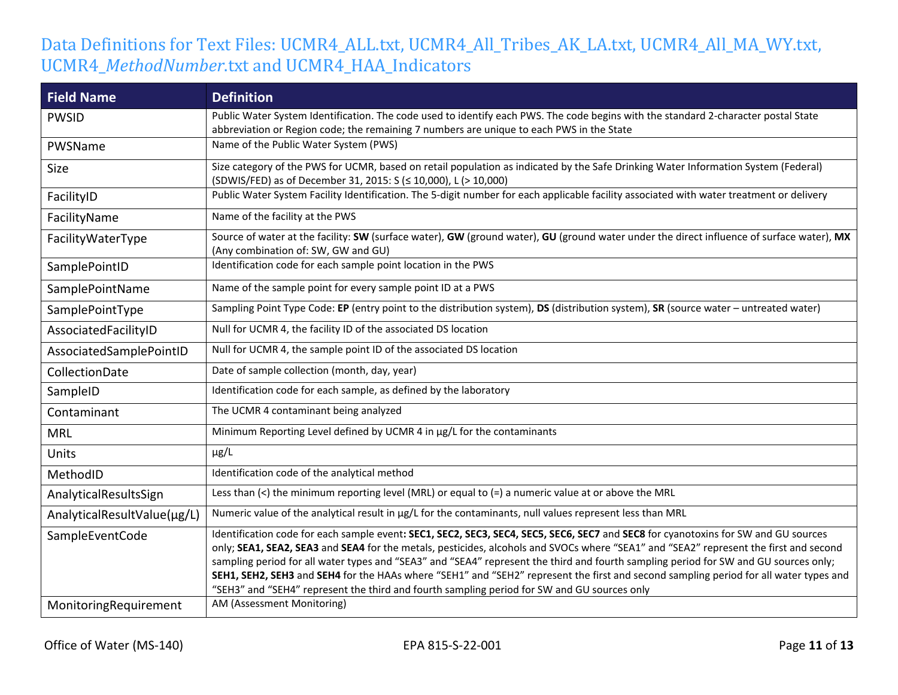### Data Definitions for Text Files: UCMR4\_ALL.txt, UCMR4\_All\_Tribes\_AK\_LA.txt, UCMR4\_All\_MA\_WY.txt, UCMR4\_*MethodNumber*.txt and UCMR4\_HAA\_Indicators

| <b>Field Name</b>           | <b>Definition</b>                                                                                                                                                                                                                                                                                                                                                                                                                                                                                                                                                                                                                                           |
|-----------------------------|-------------------------------------------------------------------------------------------------------------------------------------------------------------------------------------------------------------------------------------------------------------------------------------------------------------------------------------------------------------------------------------------------------------------------------------------------------------------------------------------------------------------------------------------------------------------------------------------------------------------------------------------------------------|
| <b>PWSID</b>                | Public Water System Identification. The code used to identify each PWS. The code begins with the standard 2-character postal State                                                                                                                                                                                                                                                                                                                                                                                                                                                                                                                          |
|                             | abbreviation or Region code; the remaining 7 numbers are unique to each PWS in the State                                                                                                                                                                                                                                                                                                                                                                                                                                                                                                                                                                    |
| PWSName                     | Name of the Public Water System (PWS)                                                                                                                                                                                                                                                                                                                                                                                                                                                                                                                                                                                                                       |
| Size                        | Size category of the PWS for UCMR, based on retail population as indicated by the Safe Drinking Water Information System (Federal)<br>(SDWIS/FED) as of December 31, 2015: S (≤ 10,000), L (> 10,000)                                                                                                                                                                                                                                                                                                                                                                                                                                                       |
| FacilityID                  | Public Water System Facility Identification. The 5-digit number for each applicable facility associated with water treatment or delivery                                                                                                                                                                                                                                                                                                                                                                                                                                                                                                                    |
| FacilityName                | Name of the facility at the PWS                                                                                                                                                                                                                                                                                                                                                                                                                                                                                                                                                                                                                             |
| FacilityWaterType           | Source of water at the facility: SW (surface water), GW (ground water), GU (ground water under the direct influence of surface water), MX<br>(Any combination of: SW, GW and GU)                                                                                                                                                                                                                                                                                                                                                                                                                                                                            |
| SamplePointID               | Identification code for each sample point location in the PWS                                                                                                                                                                                                                                                                                                                                                                                                                                                                                                                                                                                               |
| SamplePointName             | Name of the sample point for every sample point ID at a PWS                                                                                                                                                                                                                                                                                                                                                                                                                                                                                                                                                                                                 |
| SamplePointType             | Sampling Point Type Code: EP (entry point to the distribution system), DS (distribution system), SR (source water - untreated water)                                                                                                                                                                                                                                                                                                                                                                                                                                                                                                                        |
| AssociatedFacilityID        | Null for UCMR 4, the facility ID of the associated DS location                                                                                                                                                                                                                                                                                                                                                                                                                                                                                                                                                                                              |
| AssociatedSamplePointID     | Null for UCMR 4, the sample point ID of the associated DS location                                                                                                                                                                                                                                                                                                                                                                                                                                                                                                                                                                                          |
| CollectionDate              | Date of sample collection (month, day, year)                                                                                                                                                                                                                                                                                                                                                                                                                                                                                                                                                                                                                |
| SampleID                    | Identification code for each sample, as defined by the laboratory                                                                                                                                                                                                                                                                                                                                                                                                                                                                                                                                                                                           |
| Contaminant                 | The UCMR 4 contaminant being analyzed                                                                                                                                                                                                                                                                                                                                                                                                                                                                                                                                                                                                                       |
| <b>MRL</b>                  | Minimum Reporting Level defined by UCMR 4 in µg/L for the contaminants                                                                                                                                                                                                                                                                                                                                                                                                                                                                                                                                                                                      |
| <b>Units</b>                | $\mu$ g/L                                                                                                                                                                                                                                                                                                                                                                                                                                                                                                                                                                                                                                                   |
| MethodID                    | Identification code of the analytical method                                                                                                                                                                                                                                                                                                                                                                                                                                                                                                                                                                                                                |
| AnalyticalResultsSign       | Less than $\left\langle \cdot\right\rangle$ the minimum reporting level (MRL) or equal to $\left( =\right)$ a numeric value at or above the MRL                                                                                                                                                                                                                                                                                                                                                                                                                                                                                                             |
| AnalyticalResultValue(µg/L) | Numeric value of the analytical result in µg/L for the contaminants, null values represent less than MRL                                                                                                                                                                                                                                                                                                                                                                                                                                                                                                                                                    |
| SampleEventCode             | Identification code for each sample event: SEC1, SEC2, SEC3, SEC4, SEC5, SEC6, SEC7 and SEC8 for cyanotoxins for SW and GU sources<br>only; SEA1, SEA2, SEA3 and SEA4 for the metals, pesticides, alcohols and SVOCs where "SEA1" and "SEA2" represent the first and second<br>sampling period for all water types and "SEA3" and "SEA4" represent the third and fourth sampling period for SW and GU sources only;<br>SEH1, SEH2, SEH3 and SEH4 for the HAAs where "SEH1" and "SEH2" represent the first and second sampling period for all water types and<br>"SEH3" and "SEH4" represent the third and fourth sampling period for SW and GU sources only |
| MonitoringRequirement       | AM (Assessment Monitoring)                                                                                                                                                                                                                                                                                                                                                                                                                                                                                                                                                                                                                                  |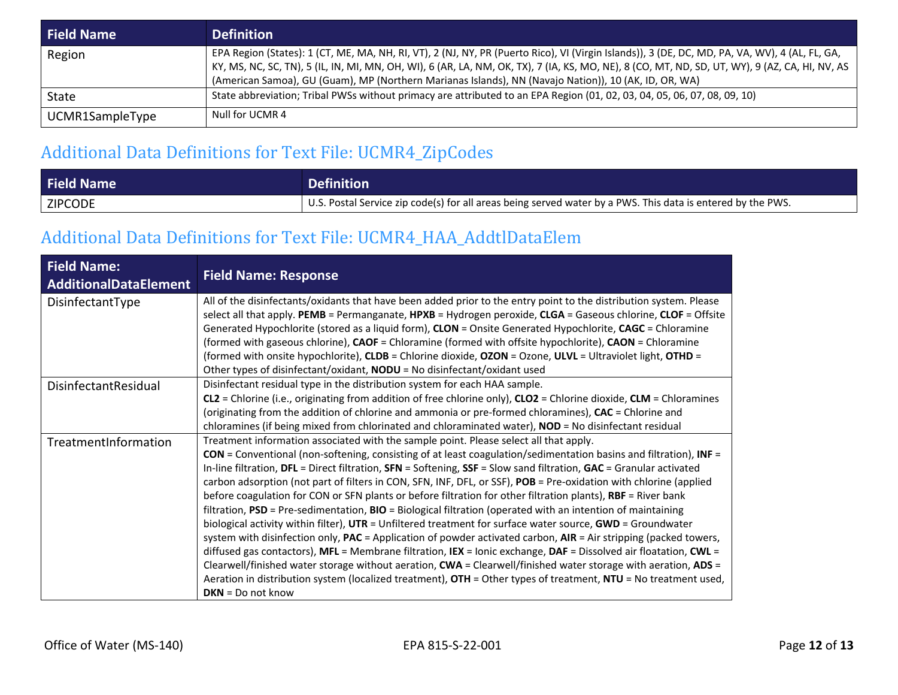| <b>Field Name</b> | <b>Definition</b>                                                                                                                                                                                                                                                                                                                                                                                         |
|-------------------|-----------------------------------------------------------------------------------------------------------------------------------------------------------------------------------------------------------------------------------------------------------------------------------------------------------------------------------------------------------------------------------------------------------|
| Region            | EPA Region (States): 1 (CT, ME, MA, NH, RI, VT), 2 (NJ, NY, PR (Puerto Rico), VI (Virgin Islands)), 3 (DE, DC, MD, PA, VA, WV), 4 (AL, FL, GA,<br>KY, MS, NC, SC, TN), 5 (IL, IN, MI, MN, OH, WI), 6 (AR, LA, NM, OK, TX), 7 (IA, KS, MO, NE), 8 (CO, MT, ND, SD, UT, WY), 9 (AZ, CA, HI, NV, AS<br>(American Samoa), GU (Guam), MP (Northern Marianas Islands), NN (Navajo Nation)), 10 (AK, ID, OR, WA) |
| State             | State abbreviation; Tribal PWSs without primacy are attributed to an EPA Region (01, 02, 03, 04, 05, 06, 07, 08, 09, 10)                                                                                                                                                                                                                                                                                  |
| UCMR1SampleType   | Null for UCMR 4                                                                                                                                                                                                                                                                                                                                                                                           |

## Additional Data Definitions for Text File: UCMR4\_ZipCodes

| <b>Field Name</b> | <b>Definition</b>                                                                                           |
|-------------------|-------------------------------------------------------------------------------------------------------------|
| <b>ZIPCODE</b>    | U.S. Postal Service zip code(s) for all areas being served water by a PWS. This data is entered by the PWS. |

### Additional Data Definitions for Text File: UCMR4\_HAA\_AddtlDataElem

| <b>Field Name:</b><br><b>AdditionalDataElement</b> | <b>Field Name: Response</b>                                                                                                                                                                                                                                                                                                                                                                                                                                                                                                                                                                                                                                                                                                                                                                                                                                                                                                                                                                                                                                                                                                                                                                                                                                                                                  |
|----------------------------------------------------|--------------------------------------------------------------------------------------------------------------------------------------------------------------------------------------------------------------------------------------------------------------------------------------------------------------------------------------------------------------------------------------------------------------------------------------------------------------------------------------------------------------------------------------------------------------------------------------------------------------------------------------------------------------------------------------------------------------------------------------------------------------------------------------------------------------------------------------------------------------------------------------------------------------------------------------------------------------------------------------------------------------------------------------------------------------------------------------------------------------------------------------------------------------------------------------------------------------------------------------------------------------------------------------------------------------|
| DisinfectantType                                   | All of the disinfectants/oxidants that have been added prior to the entry point to the distribution system. Please<br>select all that apply. PEMB = Permanganate, HPXB = Hydrogen peroxide, CLGA = Gaseous chlorine, CLOF = Offsite<br>Generated Hypochlorite (stored as a liquid form), CLON = Onsite Generated Hypochlorite, CAGC = Chloramine<br>(formed with gaseous chlorine), CAOF = Chloramine (formed with offsite hypochlorite), CAON = Chloramine<br>(formed with onsite hypochlorite), CLDB = Chlorine dioxide, OZON = Ozone, ULVL = Ultraviolet light, OTHD =<br>Other types of disinfectant/oxidant, NODU = No disinfectant/oxidant used                                                                                                                                                                                                                                                                                                                                                                                                                                                                                                                                                                                                                                                        |
| DisinfectantResidual                               | Disinfectant residual type in the distribution system for each HAA sample.<br>CL2 = Chlorine (i.e., originating from addition of free chlorine only), CLO2 = Chlorine dioxide, CLM = Chloramines<br>(originating from the addition of chlorine and ammonia or pre-formed chloramines), CAC = Chlorine and<br>chloramines (if being mixed from chlorinated and chloraminated water), NOD = No disinfectant residual                                                                                                                                                                                                                                                                                                                                                                                                                                                                                                                                                                                                                                                                                                                                                                                                                                                                                           |
| TreatmentInformation                               | Treatment information associated with the sample point. Please select all that apply.<br>$CON = Conventional (non-softening, consisting of at least coagulation/sedimentation basins and filtration), INF =$<br>In-line filtration, DFL = Direct filtration, SFN = Softening, SSF = Slow sand filtration, GAC = Granular activated<br>carbon adsorption (not part of filters in CON, SFN, INF, DFL, or SSF), POB = Pre-oxidation with chlorine (applied<br>before coagulation for CON or SFN plants or before filtration for other filtration plants), RBF = River bank<br>filtration, PSD = Pre-sedimentation, BIO = Biological filtration (operated with an intention of maintaining<br>biological activity within filter), UTR = Unfiltered treatment for surface water source, GWD = Groundwater<br>system with disinfection only, $PAC =$ Application of powder activated carbon, $AIR = Air$ stripping (packed towers,<br>diffused gas contactors), MFL = Membrane filtration, IEX = Ionic exchange, DAF = Dissolved air floatation, CWL =<br>Clearwell/finished water storage without aeration, CWA = Clearwell/finished water storage with aeration, ADS =<br>Aeration in distribution system (localized treatment), OTH = Other types of treatment, NTU = No treatment used,<br>$DKN = Do$ not know |